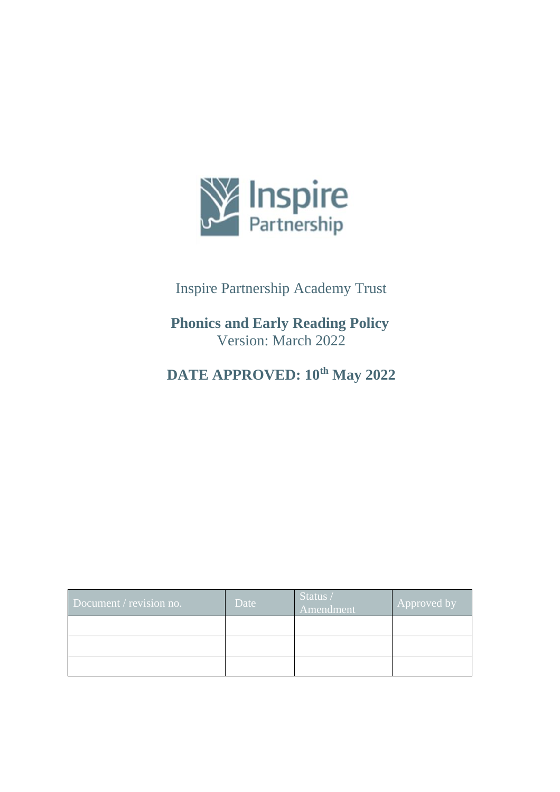

# Inspire Partnership Academy Trust

# **Phonics and Early Reading Policy** Version: March 2022

# **DATE APPROVED: 10th May 2022**

| Document / revision no. | Date | Status /<br>Amendment | Approved by |
|-------------------------|------|-----------------------|-------------|
|                         |      |                       |             |
|                         |      |                       |             |
|                         |      |                       |             |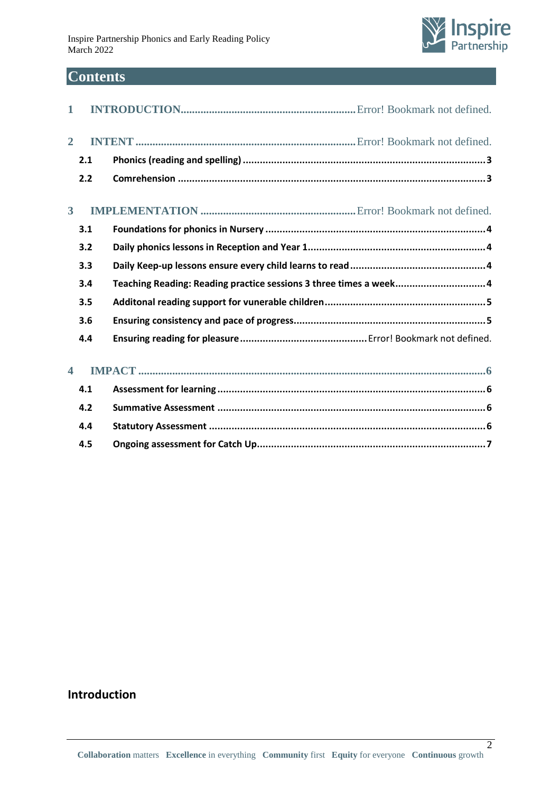

# **Contents**

| $\mathbf 1$             |     |                                                                   |
|-------------------------|-----|-------------------------------------------------------------------|
| $\overline{2}$          |     |                                                                   |
|                         | 2.1 |                                                                   |
|                         | 2.2 |                                                                   |
| 3 <sup>1</sup>          |     |                                                                   |
|                         | 3.1 |                                                                   |
|                         | 3.2 |                                                                   |
|                         | 3.3 |                                                                   |
|                         | 3.4 | Teaching Reading: Reading practice sessions 3 three times a week4 |
|                         | 3.5 |                                                                   |
|                         | 3.6 |                                                                   |
|                         | 4.4 |                                                                   |
| $\overline{\mathbf{4}}$ |     |                                                                   |
|                         | 4.1 |                                                                   |
|                         | 4.2 |                                                                   |
|                         | 4.4 |                                                                   |
|                         | 4.5 |                                                                   |

# **Introduction**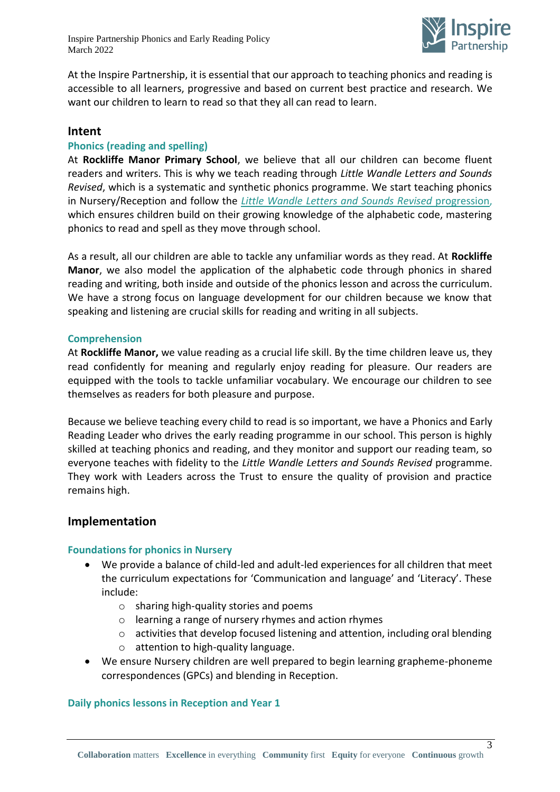

At the Inspire Partnership, it is essential that our approach to teaching phonics and reading is accessible to all learners, progressive and based on current best practice and research. We want our children to learn to read so that they all can read to learn.

# **Intent**

## **Phonics (reading and spelling)**

At **Rockliffe Manor Primary School**, we believe that all our children can become fluent readers and writers. This is why we teach reading through *Little Wandle Letters and Sounds Revised*, which is a systematic and synthetic phonics programme. We start teaching phonics in Nursery/Reception and follow the *[Little Wandle Letters and Sounds Revised](https://wandlelearningtrust.sharepoint.com/sites/WTSA2/Shared%20Documents/Forms/AllItems.aspx?csf=1&web=1&e=dA5Kg8&cid=c07c4b6e%2D7eff%2D4834%2Db0a2%2De34e77f1195a&FolderCTID=0x0120002B68E4606EDEEB42917E483D1520364F&id=%2Fsites%2FWTSA2%2FShared%20Documents%2FLetters%20and%20Sounds%2FLetters%20and%20Sounds%20Revised%2FSigned%20off%20files%2FProgramme%20Overview%5FReception%20and%20Year%201%2Epdf&parent=%2Fsites%2FWTSA2%2FShared%20Documents%2FLetters%20and%20Sounds%2FLetters%20and%20Sounds%20Revised%2FSigned%20off%20files)* progression, which ensures children build on their growing knowledge of the alphabetic code, mastering phonics to read and spell as they move through school.

As a result, all our children are able to tackle any unfamiliar words as they read. At **Rockliffe Manor**, we also model the application of the alphabetic code through phonics in shared reading and writing, both inside and outside of the phonics lesson and across the curriculum. We have a strong focus on language development for our children because we know that speaking and listening are crucial skills for reading and writing in all subjects.

## **Comprehension**

At **Rockliffe Manor,** we value reading as a crucial life skill. By the time children leave us, they read confidently for meaning and regularly enjoy reading for pleasure. Our readers are equipped with the tools to tackle unfamiliar vocabulary. We encourage our children to see themselves as readers for both pleasure and purpose.

Because we believe teaching every child to read is so important, we have a Phonics and Early Reading Leader who drives the early reading programme in our school. This person is highly skilled at teaching phonics and reading, and they monitor and support our reading team, so everyone teaches with fidelity to the *Little Wandle Letters and Sounds Revised* programme. They work with Leaders across the Trust to ensure the quality of provision and practice remains high.

# **Implementation**

## **Foundations for phonics in Nursery**

- We provide a balance of child-led and adult-led experiences for all children that meet the curriculum expectations for 'Communication and language' and 'Literacy'. These include:
	- o sharing high-quality stories and poems
	- o learning a range of nursery rhymes and action rhymes
	- $\circ$  activities that develop focused listening and attention, including oral blending
	- o attention to high-quality language.
- We ensure Nursery children are well prepared to begin learning grapheme-phoneme correspondences (GPCs) and blending in Reception.

## **Daily phonics lessons in Reception and Year 1**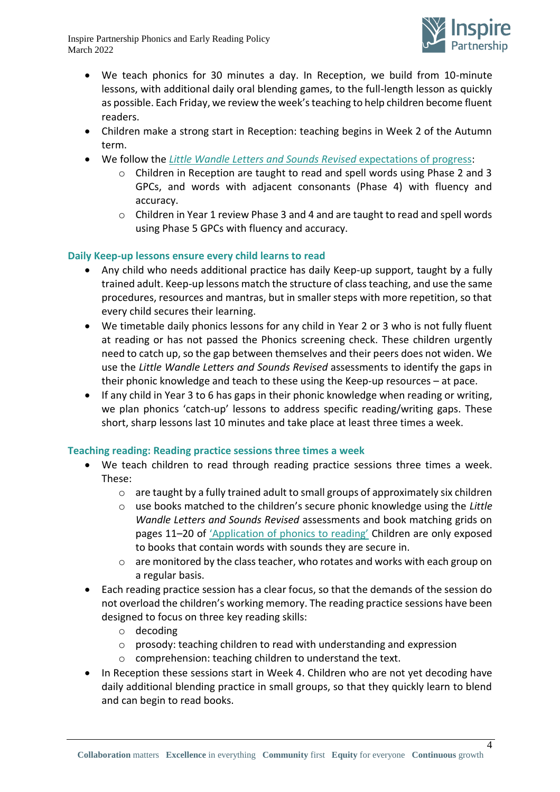

- We teach phonics for 30 minutes a day. In Reception, we build from 10-minute lessons, with additional daily oral blending games, to the full-length lesson as quickly as possible. Each Friday, we review the week's teaching to help children become fluent readers.
- Children make a strong start in Reception: teaching begins in Week 2 of the Autumn term.
- We follow the *[Little Wandle Letters and Sounds Revised](https://wandlelearningtrust.sharepoint.com/sites/WTSA2/Shared%20Documents/Forms/AllItems.aspx?csf=1&web=1&e=dA5Kg8&cid=c07c4b6e%2D7eff%2D4834%2Db0a2%2De34e77f1195a&FolderCTID=0x0120002B68E4606EDEEB42917E483D1520364F&id=%2Fsites%2FWTSA2%2FShared%20Documents%2FLetters%20and%20Sounds%2FLetters%20and%20Sounds%20Revised%2FSigned%20off%20files%2FProgramme%20Overview%5FReception%20and%20Year%201%2Epdf&parent=%2Fsites%2FWTSA2%2FShared%20Documents%2FLetters%20and%20Sounds%2FLetters%20and%20Sounds%20Revised%2FSigned%20off%20files)* expectations of progress:
	- o Children in Reception are taught to read and spell words using Phase 2 and 3 GPCs, and words with adjacent consonants (Phase 4) with fluency and accuracy.
	- o Children in Year 1 review Phase 3 and 4 and are taught to read and spell words using Phase 5 GPCs with fluency and accuracy.

# **Daily Keep-up lessons ensure every child learns to read**

- Any child who needs additional practice has daily Keep-up support, taught by a fully trained adult. Keep-up lessons match the structure of class teaching, and use the same procedures, resources and mantras, but in smaller steps with more repetition, so that every child secures their learning.
- We timetable daily phonics lessons for any child in Year 2 or 3 who is not fully fluent at reading or has not passed the Phonics screening check. These children urgently need to catch up, so the gap between themselves and their peers does not widen. We use the *Little Wandle Letters and Sounds Revised* assessments to identify the gaps in their phonic knowledge and teach to these using the Keep-up resources – at pace.
- If any child in Year 3 to 6 has gaps in their phonic knowledge when reading or writing, we plan phonics 'catch-up' lessons to address specific reading/writing gaps. These short, sharp lessons last 10 minutes and take place at least three times a week.

# **Teaching reading: Reading practice sessions three times a week**

- We teach children to read through reading practice sessions three times a week. These:
	- o are taught by a fully trained adult to small groups of approximately six children
	- o use books matched to the children's secure phonic knowledge using the *Little Wandle Letters and Sounds Revised* assessments and book matching grids on pages 11–20 of ['Application of phonics to reading'](https://www.littlewandlelettersandsounds.org.uk/wp-content/uploads/2021/11/LS-KEY-GUIDANCE-APPLICATION-OF-PHONICS-NEW-PD03-1.pdf) Children are only exposed to books that contain words with sounds they are secure in.
	- o are monitored by the class teacher, who rotates and works with each group on a regular basis.
- Each reading practice session has a clear focus, so that the demands of the session do not overload the children's working memory. The reading practice sessions have been designed to focus on three key reading skills:
	- o decoding
	- o prosody: teaching children to read with understanding and expression
	- o comprehension: teaching children to understand the text.
- In Reception these sessions start in Week 4. Children who are not yet decoding have daily additional blending practice in small groups, so that they quickly learn to blend and can begin to read books.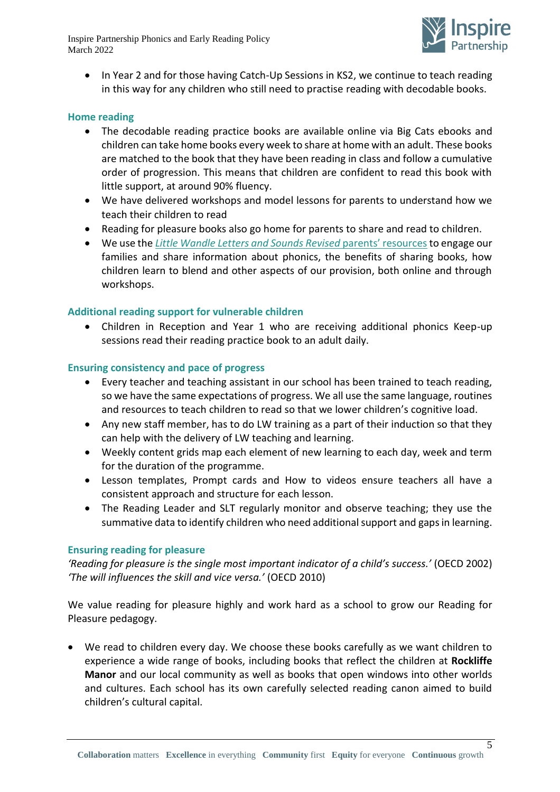

• In Year 2 and for those having Catch-Up Sessions in KS2, we continue to teach reading in this way for any children who still need to practise reading with decodable books.

#### **Home reading**

- The decodable reading practice books are available online via Big Cats ebooks and children can take home books every week to share at home with an adult. These books are matched to the book that they have been reading in class and follow a cumulative order of progression. This means that children are confident to read this book with little support, at around 90% fluency.
- We have delivered workshops and model lessons for parents to understand how we teach their children to read
- Reading for pleasure books also go home for parents to share and read to children.
- We use the *Little Wandle [Letters and Sounds Revised](https://www.littlewandlelettersandsounds.org.uk/resources/for-parents/)* parents' resources to engage our families and share information about phonics, the benefits of sharing books, how children learn to blend and other aspects of our provision, both online and through workshops.

#### **Additional reading support for vulnerable children**

• Children in Reception and Year 1 who are receiving additional phonics Keep-up sessions read their reading practice book to an adult daily.

#### **Ensuring consistency and pace of progress**

- Every teacher and teaching assistant in our school has been trained to teach reading, so we have the same expectations of progress. We all use the same language, routines and resources to teach children to read so that we lower children's cognitive load.
- Any new staff member, has to do LW training as a part of their induction so that they can help with the delivery of LW teaching and learning.
- Weekly content grids map each element of new learning to each day, week and term for the duration of the programme.
- Lesson templates, Prompt cards and How to videos ensure teachers all have a consistent approach and structure for each lesson.
- The Reading Leader and SLT regularly monitor and observe teaching; they use the summative data to identify children who need additional support and gaps in learning.

#### **Ensuring reading for pleasure**

*'Reading for pleasure is the single most important indicator of a child's success.'* (OECD 2002) *'The will influences the skill and vice versa.'* (OECD 2010)

We value reading for pleasure highly and work hard as a school to grow our Reading for Pleasure pedagogy.

• We read to children every day. We choose these books carefully as we want children to experience a wide range of books, including books that reflect the children at **Rockliffe Manor** and our local community as well as books that open windows into other worlds and cultures. Each school has its own carefully selected reading canon aimed to build children's cultural capital.